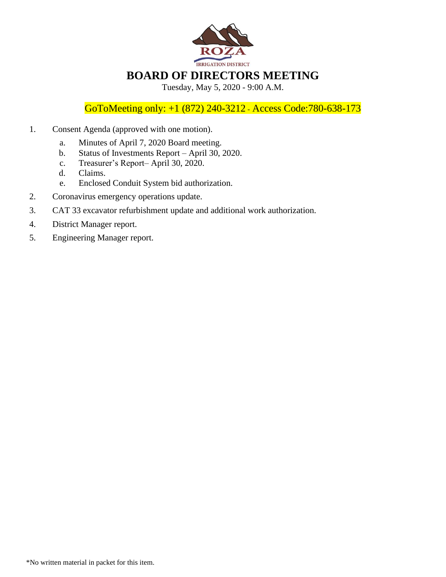

GoToMeeting only: +1 (872) 240-3212 - Access Code:780-638-173

- 1. Consent Agenda (approved with one motion).
	- a. Minutes of April 7, 2020 Board meeting.
	- b. Status of Investments Report April 30, 2020.
	- c. Treasurer's Report– April 30, 2020.
	- d. Claims.
	- e. Enclosed Conduit System bid authorization.
- 2. Coronavirus emergency operations update.
- 3. CAT 33 excavator refurbishment update and additional work authorization.
- 4. District Manager report.
- 5. Engineering Manager report.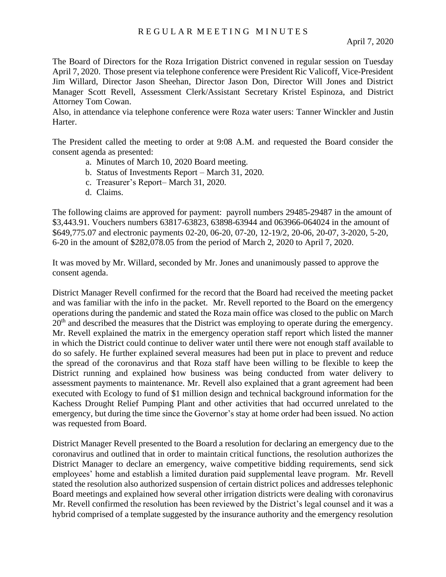The Board of Directors for the Roza Irrigation District convened in regular session on Tuesday April 7, 2020. Those present via telephone conference were President Ric Valicoff, Vice-President Jim Willard, Director Jason Sheehan, Director Jason Don, Director Will Jones and District Manager Scott Revell, Assessment Clerk/Assistant Secretary Kristel Espinoza, and District Attorney Tom Cowan.

Also, in attendance via telephone conference were Roza water users: Tanner Winckler and Justin Harter.

The President called the meeting to order at 9:08 A.M. and requested the Board consider the consent agenda as presented:

- a. Minutes of March 10, 2020 Board meeting.
- b. Status of Investments Report March 31, 2020.
- c. Treasurer's Report– March 31, 2020.
- d. Claims.

The following claims are approved for payment: payroll numbers 29485-29487 in the amount of \$3,443.91. Vouchers numbers 63817-63823, 63898-63944 and 063966-064024 in the amount of \$649,775.07 and electronic payments 02-20, 06-20, 07-20, 12-19/2, 20-06, 20-07, 3-2020, 5-20, 6-20 in the amount of \$282,078.05 from the period of March 2, 2020 to April 7, 2020.

It was moved by Mr. Willard, seconded by Mr. Jones and unanimously passed to approve the consent agenda.

District Manager Revell confirmed for the record that the Board had received the meeting packet and was familiar with the info in the packet. Mr. Revell reported to the Board on the emergency operations during the pandemic and stated the Roza main office was closed to the public on March  $20<sup>th</sup>$  and described the measures that the District was employing to operate during the emergency. Mr. Revell explained the matrix in the emergency operation staff report which listed the manner in which the District could continue to deliver water until there were not enough staff available to do so safely. He further explained several measures had been put in place to prevent and reduce the spread of the coronavirus and that Roza staff have been willing to be flexible to keep the District running and explained how business was being conducted from water delivery to assessment payments to maintenance. Mr. Revell also explained that a grant agreement had been executed with Ecology to fund of \$1 million design and technical background information for the Kachess Drought Relief Pumping Plant and other activities that had occurred unrelated to the emergency, but during the time since the Governor's stay at home order had been issued. No action was requested from Board.

District Manager Revell presented to the Board a resolution for declaring an emergency due to the coronavirus and outlined that in order to maintain critical functions, the resolution authorizes the District Manager to declare an emergency, waive competitive bidding requirements, send sick employees' home and establish a limited duration paid supplemental leave program. Mr. Revell stated the resolution also authorized suspension of certain district polices and addresses telephonic Board meetings and explained how several other irrigation districts were dealing with coronavirus Mr. Revell confirmed the resolution has been reviewed by the District's legal counsel and it was a hybrid comprised of a template suggested by the insurance authority and the emergency resolution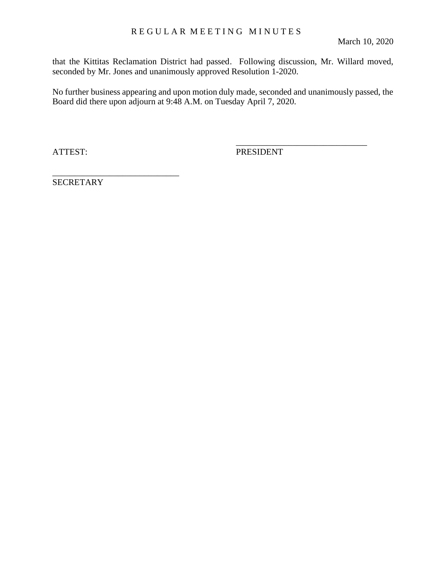that the Kittitas Reclamation District had passed. Following discussion, Mr. Willard moved, seconded by Mr. Jones and unanimously approved Resolution 1-2020.

No further business appearing and upon motion duly made, seconded and unanimously passed, the Board did there upon adjourn at 9:48 A.M. on Tuesday April 7, 2020.

ATTEST: PRESIDENT

\_\_\_\_\_\_\_\_\_\_\_\_\_\_\_\_\_\_\_\_\_\_\_\_\_\_\_\_\_\_

**SECRETARY** 

\_\_\_\_\_\_\_\_\_\_\_\_\_\_\_\_\_\_\_\_\_\_\_\_\_\_\_\_\_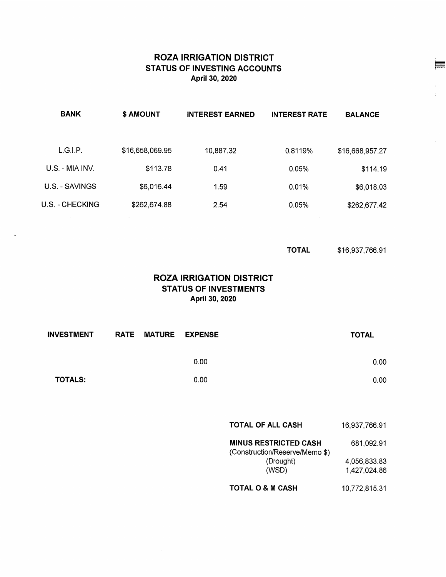## **ROZA IRRIGATION DISTRICT STATUS OF INVESTING ACCOUNTS** April 30, 2020

| <b>BANK</b>     | \$ AMOUNT       | <b>INTEREST EARNED</b> | <b>INTEREST RATE</b> | <b>BALANCE</b>  |
|-----------------|-----------------|------------------------|----------------------|-----------------|
|                 |                 |                        |                      |                 |
| L.G.I.P.        | \$16,658,069.95 | 10,887.32              | 0.8119%              | \$16,668,957.27 |
| U.S. - MIA INV. | \$113.78        | 0.41                   | 0.05%                | \$114.19        |
| U.S. - SAVINGS  | \$6,016.44      | 1.59                   | 0.01%                | \$6,018.03      |
| U.S. - CHECKING | \$262,674.88    | 2.54                   | 0.05%                | \$262,677.42    |

 $\sim$ 

\$16,937,766.91 **TOTAL** 

## **ROZA IRRIGATION DISTRICT STATUS OF INVESTMENTS** April 30, 2020

| <b>INVESTMENT</b> | RATE MATURE EXPENSE |      | <b>TOTAL</b> |  |
|-------------------|---------------------|------|--------------|--|
|                   |                     | 0.00 | 0.00         |  |
| <b>TOTALS:</b>    |                     | 0.00 | 0.00         |  |

| <b>TOTAL OF ALL CASH</b> | 16,937,766.91 |
|--------------------------|---------------|
|--------------------------|---------------|

| <b>MINUS RESTRICTED CASH</b><br>(Construction/Reserve/Memo \$) | 681,092.91   |
|----------------------------------------------------------------|--------------|
| (Drought)                                                      | 4.056.833.83 |
| (WSD)                                                          | 1,427,024.86 |

**TOTAL O & M CASH** 10,772,815.31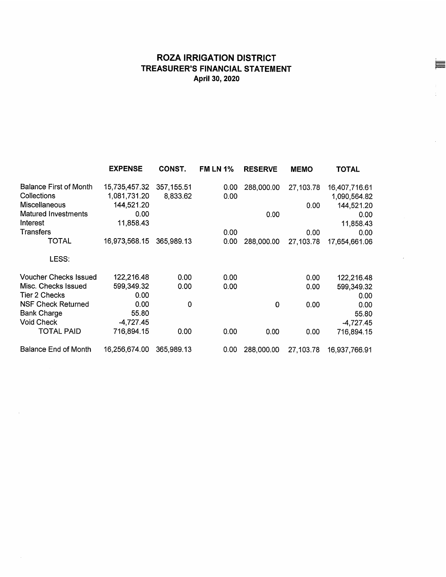# **ROZA IRRIGATION DISTRICT** TREASURER'S FINANCIAL STATEMENT April 30, 2020

|                               | <b>EXPENSE</b> | CONST.      | <b>FM LN 1%</b> | <b>RESERVE</b> | <b>MEMO</b> | <b>TOTAL</b>  |
|-------------------------------|----------------|-------------|-----------------|----------------|-------------|---------------|
| <b>Balance First of Month</b> | 15,735,457.32  | 357, 155.51 | 0.00            | 288,000.00     | 27,103.78   | 16,407,716.61 |
| Collections                   | 1,081,731.20   | 8,833.62    | 0.00            |                |             | 1,090,564.82  |
| <b>Miscellaneous</b>          | 144,521.20     |             |                 |                | 0.00        | 144,521.20    |
| <b>Matured Investments</b>    | 0.00           |             |                 | 0.00           |             | 0.00          |
| Interest                      | 11,858.43      |             |                 |                |             | 11,858.43     |
| Transfers                     |                |             | 0.00            |                | 0.00        | 0.00          |
| TOTAL                         | 16,973,568.15  | 365,989.13  | 0.00            | 288,000.00     | 27,103.78   | 17,654,661.06 |
| LESS:                         |                |             |                 |                |             |               |
| <b>Voucher Checks Issued</b>  | 122,216.48     | 0.00        | 0.00            |                | 0.00        | 122,216.48    |
| Misc. Checks Issued           | 599,349.32     | 0.00        | 0.00            |                | 0.00        | 599,349.32    |
| Tier 2 Checks                 | 0.00           |             |                 |                |             | 0.00          |
| <b>NSF Check Returned</b>     | 0.00           | 0           |                 | 0              | 0.00        | 0.00          |
| <b>Bank Charge</b>            | 55.80          |             |                 |                |             | 55.80         |
| <b>Void Check</b>             | $-4,727.45$    |             |                 |                |             | $-4,727.45$   |
| TOTAL PAID                    | 716,894.15     | 0.00        | 0.00            | 0.00           | 0.00        | 716,894.15    |
| <b>Balance End of Month</b>   | 16,256,674.00  | 365,989.13  | 0.00            | 288,000.00     | 27,103.78   | 16,937,766.91 |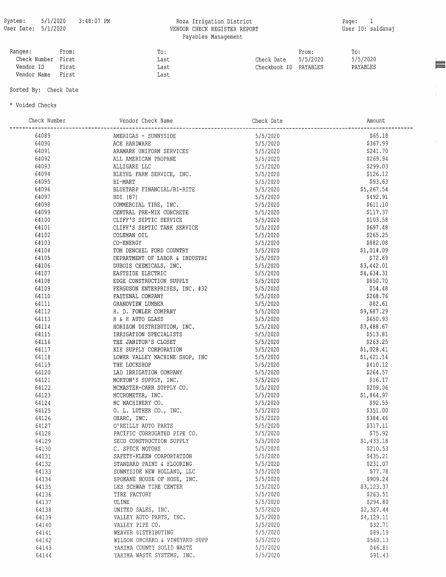#### Roza Irrigation District VENDOR CHECK REGISTER REPORT Payables Management

 $\bar{1}^+$ 

 $\hat{\mathcal{A}}$ 

| Ranges:            | From: | To:  |                       | From:    | To:      |
|--------------------|-------|------|-----------------------|----------|----------|
| Check Number First |       | Last | Check Date            | 5/5/2020 | 5/5/2020 |
| Vendor ID          | First | Last | Checkbook ID PAYABLES |          | PAYABLES |
| Vendor Name        | First | Last |                       |          |          |

#### Sorted By: Check Date

\* Voided Checks

| Check Number | Vendor Check Name                                                                                                                                                                                                            |                                        | ----------------------<br>Amount |
|--------------|------------------------------------------------------------------------------------------------------------------------------------------------------------------------------------------------------------------------------|----------------------------------------|----------------------------------|
| 64089        |                                                                                                                                                                                                                              |                                        | \$65.18                          |
| 64090        |                                                                                                                                                                                                                              |                                        | \$367.99                         |
| 64091        |                                                                                                                                                                                                                              |                                        | \$241.70                         |
| 64092        |                                                                                                                                                                                                                              |                                        | \$269.94                         |
| 64093        | ALLIGARE LLC                                                                                                                                                                                                                 |                                        | \$299.03                         |
| 64094        |                                                                                                                                                                                                                              |                                        | \$126.12                         |
| 64095        |                                                                                                                                                                                                                              |                                        | \$93.63                          |
| 64096        | BLUETARP FINANCIAL/BI-RITE<br>BDI (87)                                                                                                                                                                                       |                                        | \$5,267.54                       |
| 64097        | BDI (87)                                                                                                                                                                                                                     | 5/5/2020                               | \$492.91                         |
| 64098        |                                                                                                                                                                                                                              |                                        | \$611.10                         |
| 64099        |                                                                                                                                                                                                                              |                                        | \$117.37                         |
| 64100        | COMMERCIAL TIRE, INC.<br>CENTRAL PRE-MIX CONCRETE<br>CLIFF'S SEPTIC SERVICE<br>CLIFF'S SEPTIC TANK SERVICE<br>5/5/2020<br>CLIFF'S SEPTIC TANK SERVICE<br>5/5/2020                                                            |                                        | \$103.58                         |
| 64101        |                                                                                                                                                                                                                              |                                        | \$697.48                         |
| 64102        | COLEMAN OIL                                                                                                                                                                                                                  | 5/5/2020                               | \$265.25                         |
| 64103        | CO-ENERGY                                                                                                                                                                                                                    |                                        | \$882.08                         |
| 64104        | TOM DENCHEL FORD COUNTRY                                                                                                                                                                                                     | 5/5/2020<br>5/5/2020                   | \$1,014.09                       |
| 64105        | DEPARTMENT OF LABOR & INDUSTRI 5/5/2020                                                                                                                                                                                      |                                        | \$72.69                          |
| 64106        |                                                                                                                                                                                                                              |                                        | \$3,442.01                       |
| 64107        | DUBOIS CHEMICALS, INC.<br>EASTSIDE ELECTRIC<br>EDGE CONSTRUCTION SUPPLY<br>5/5/2020<br>5/5/2020                                                                                                                              |                                        | \$4,634.31                       |
| 64108        |                                                                                                                                                                                                                              |                                        | \$850.70                         |
| 64109        | FERGUSON ENTERPRISES, INC. #32 5/5/2020                                                                                                                                                                                      |                                        | \$54.48                          |
| 64110        | FASTENAL COMPANY                                                                                                                                                                                                             |                                        | \$268.76                         |
|              |                                                                                                                                                                                                                              | $5/5/2020$<br>$5/5/2020$<br>$5/5/2020$ |                                  |
| 64111        | GRANDVIEW LUMBER                                                                                                                                                                                                             |                                        | \$82.61                          |
| 64112        |                                                                                                                                                                                                                              |                                        | \$9,687.29                       |
| 64113        |                                                                                                                                                                                                                              |                                        | \$650.93                         |
| 64114        |                                                                                                                                                                                                                              |                                        | \$3,488.67                       |
| 64115        |                                                                                                                                                                                                                              |                                        | \$513.81                         |
| 64116        | H. D. FOWLER COMPANY<br>H & H AUTO GLASS<br>HORIZON DISTRIBUTION, INC.<br>IRRIGATION SPECIALISTS<br>$5/5/2020$<br>IRRIGATION SPECIALISTS<br>$5/5/2020$<br>$5/5/2020$<br>$5/5/2020$<br>$5/5/2020$<br>$5/5/2020$<br>$5/5/2020$ |                                        | \$263.25                         |
| 64117        | KIE SUPPLY CORPORATION                                                                                                                                                                                                       | 5/5/2020                               | \$1,028.41                       |
| 64118        | EXIE SUPPLI CONFORMATION<br>LOWER VALLEY MACHINE SHOP, INC 5/5/2020<br>mur Locksuop 5/5/2020                                                                                                                                 |                                        | \$1,421.14                       |
| 64119        |                                                                                                                                                                                                                              |                                        | \$410.12                         |
| 64120        | LAD IRRIGATION COMPANY                                                                                                                                                                                                       | 5/5/2020                               | \$264.57                         |
| 64121        | MORTON'S SUPPLY, INC. 5/5/2020                                                                                                                                                                                               |                                        | \$16.17                          |
| 64122        |                                                                                                                                                                                                                              |                                        | \$209.06                         |
| 64123        |                                                                                                                                                                                                                              |                                        | \$1,864.97                       |
| 64124        | MCMASTER-CARR SUPPLY CO.<br>MCCROMETER, INC.<br>MCCROMETER, INC.<br>MCCROMETER, INC.<br>S/5/2020<br>OXARC, INC.<br>OVARC, INC.<br>OVARC, INC.<br>S/5/2020<br>OXARC, INC.<br>S/5/2020<br>OVARC, INC.<br>S/5/2020              |                                        | \$92.55                          |
| 64125        |                                                                                                                                                                                                                              |                                        | \$351.00                         |
| 64126        |                                                                                                                                                                                                                              |                                        | \$384.46                         |
| 64127        |                                                                                                                                                                                                                              |                                        | \$317.11                         |
| 64128        | PACIFIC CORRUGATED PIPE CO. 5/5/2020                                                                                                                                                                                         |                                        | \$75.92                          |
| 64129        | SECO CONSTRUCTION SUPPLY                                                                                                                                                                                                     | 5/5/2020                               | \$1,433.18                       |
| 64130        | C. SPECK MOTORS                                                                                                                                                                                                              | 5/5/2020                               | \$210.53                         |
| 64131        | SAFETY-KLEEN CORPORTATION                                                                                                                                                                                                    | 5/5/2020                               | \$435.21                         |
| 64132        | STANDARD PAINT & FLOORING                                                                                                                                                                                                    | 5/5/2020                               | \$231.07                         |
| 64133        | SUNNYSIDE NEW HOLLAND, LLC                                                                                                                                                                                                   | 5/5/2020                               | \$77.78                          |
| 64134        | SPOKANE HOUSE OF HOSE, INC.                                                                                                                                                                                                  | 5/5/2020                               | \$909.24                         |
| 64135        | LES SCHWAB TIRE CENTER                                                                                                                                                                                                       | 5/5/2020                               | \$3,123.37                       |
| 64136        | TIRE FACTORY                                                                                                                                                                                                                 | 5/5/2020                               | \$263.51                         |
| 64137        | ULINE                                                                                                                                                                                                                        | 5/5/2020                               | \$294.80                         |
| 64138        | UNITED SALES, INC.                                                                                                                                                                                                           | 5/5/2020                               | \$2,327.44                       |
| 64139        | VALLEY AUTO PARTS, INC.                                                                                                                                                                                                      | 5/5/2020                               | \$4,129.11                       |
| 64140        | VALLEY PIPE CO.                                                                                                                                                                                                              | 5/5/2020                               | \$32.71                          |
| 64141        | WEAVER DISTRIBUTING                                                                                                                                                                                                          | 5/5/2020                               | \$89.19                          |
| 64142        | WILSON ORCHARD & VINEYARD SUPP                                                                                                                                                                                               | 5/5/2020                               | \$560.13                         |
| 64143        | YAKIMA COUNTY SOLID WASTE                                                                                                                                                                                                    | 5/5/2020                               | \$46.81                          |
| 64144        | YAKIMA WASTE SYSTEMS, INC.                                                                                                                                                                                                   | 5/5/2020                               | \$91.43                          |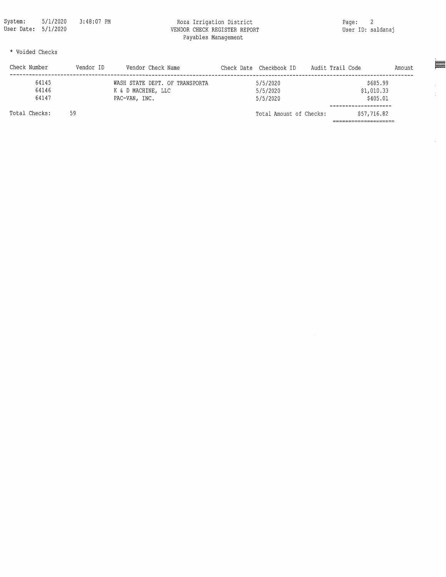#### Roza Irrigation District VENDOR CHECK REGISTER REPORT Payables Management

 $\equiv$ 

 $\frac{1}{2}$  .

 $\hat{\mathcal{L}}$ 

\* Voided Checks

| Check Number  | Vendor ID | Vendor Check Name              | Check Date Checkbook ID | Audit Trail Code |             | Amount |
|---------------|-----------|--------------------------------|-------------------------|------------------|-------------|--------|
| 64145         |           | WASH STATE DEPT. OF TRANSPORTA | 5/5/2020                |                  | \$685.99    |        |
| 64146         |           | K & D MACHINE, LLC             | 5/5/2020                |                  | \$1,010.33  |        |
| 64147         |           | PAC-VAN, INC.                  | 5/5/2020                |                  | \$405.01    |        |
| Total Checks: | 59        |                                | Total Amount of Checks: |                  | \$57,716.82 |        |
|               |           |                                |                         |                  |             |        |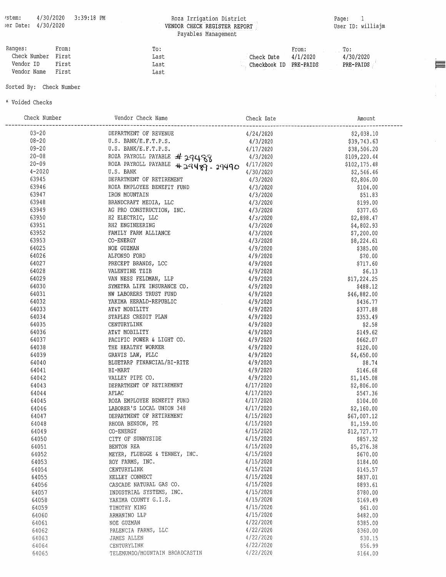# Roza Irrigation District<br>VENDOR CHECK REGISTER REPORT<br>Payables Management

 $\equiv$ 

 $\frac{1}{4}$  .

 $\mathcal{L}^{\mathcal{L}}$ 

| Ranges:            | From: | To:  |                        | From:                                                                                                                | $\Gamma$ . To : |
|--------------------|-------|------|------------------------|----------------------------------------------------------------------------------------------------------------------|-----------------|
| Check Number First |       | Last | Check Date             | 4/1/2020                                                                                                             | 4/30/2020       |
| Vendor ID          | First | Last | Checkbook ID PRE-PAIDS |                                                                                                                      | PRE-PAIDS       |
| Vendor Name        | First | Last |                        | <u> 1999 – Titol Antonio de la capacidad de la capacidad de la capacidad de la capacidad de la capacidad de la c</u> |                 |

#### Sorted By: Check Number

\* Voided Checks

| Check Number | Vendor Check Name                              | Check Date | Amount       |
|--------------|------------------------------------------------|------------|--------------|
| $03 - 20$    | DEPARTMENT OF REVENUE                          | 4/24/2020  | \$2,038.10   |
| $08 - 20$    | U.S. BANK/E.F.T.P.S.                           | 4/3/2020   | \$39,743.63  |
| $09 - 20$    | U.S. BANK/E.F.T.P.S.                           | 4/17/2020  | \$38,506.20  |
| $20 - 08$    | ROZA PAYROLL PAYABLE #29488                    | 4/3/2020   | \$109,220.44 |
| $20 - 09$    | ROZA PAYROLL PAYABLE<br>$+29489 - 29490$       | 4/17/2020  | \$102,175.48 |
| $4 - 2020$   | U.S. BANK                                      | 4/30/2020  | \$2,546.46   |
| 63945        | DEPARTMENT OF RETIREMENT                       | 4/3/2020   | \$2,806.00   |
| 63946        | ROZA EMPLOYEE BENEFIT FUND                     | 4/3/2020   | \$104.00     |
| 63947        | IRON MOUNTAIN                                  | 4/3/2020   | \$51.83      |
| 63948        | BRANDCRAFT MEDIA, LLC                          | 4/3/2020   | \$199.00     |
| 63949        | AG PRO CONSTRUCTION, INC.                      | 4/3/2020   | \$377.65     |
| 63950        | H2 ELECTRIC, LLC                               | 4/3/2020   | \$2,898.47   |
| 63951        | RH2 ENGINEERING                                | 4/3/2020   | \$4,802.93   |
| 63952        | FAMILY FARM ALLIANCE                           | 4/3/2020   | \$7,200.00   |
| 63953        | CO-ENERGY                                      | 4/3/2020   | \$8,224.61   |
| 64025        | NOE GUZMAN                                     | 4/9/2020   | \$385.00     |
| 64026        | ALFONSO FORD                                   | 4/9/2020   | \$20.00      |
| 64027        | PRECEPT BRANDS, LCC                            | 4/9/2020   | \$717.60     |
| 64028        | VALENTINE TZIB                                 | 4/9/2020   | \$6.13       |
| 64029        | VAN NESS FELDMAN, LLP                          | 4/9/2020   | \$17,224.25  |
| 64030        | SYMETRA LIFE INSURANCE CO.                     | 4/9/2020   | \$488.12     |
| 64031        | NW LABORERS TRUST FUND                         | 4/9/2020   | \$46,882.00  |
| 64032        | YAKIMA HERALD-REPUBLIC                         | 4/9/2020   | \$436.77     |
| 64033        | AT&T MOBILITY                                  | 4/9/2020   |              |
| 64034        | STAPLES CREDIT PLAN                            | 4/9/2020   | \$377.88     |
| 64035        |                                                | 4/9/2020   | \$353.49     |
| 64036        | CENTURYLINK                                    |            | \$2.58       |
|              | AT&T MOBILITY                                  | 4/9/2020   | \$149.62     |
| 64037        | PACIFIC POWER & LIGHT CO.                      | 4/9/2020   | \$662.07     |
| 64038        | THE HEALTHY WORKER                             | 4/9/2020   | \$120.00     |
| 64039        | GRAVIS LAW, PLLC<br>BLUETARP FINANCIAL/BI-RITE | 4/9/2020   | \$4,650.00   |
| 64040        |                                                | 4/9/2020   | \$8.74       |
| 64041        | BI-MART                                        | 4/9/2020   | \$146.68     |
| 64042        | VALLEY PIPE CO.                                | 4/9/2020   | \$1,145.08   |
| 64043        | DEPARTMENT OF RETIREMENT                       | 4/17/2020  | \$2,806.00   |
| 64044        | AFLAC                                          | 4/17/2020  | \$547.36     |
| 64045        | ROZA EMPLOYEE BENEFIT FUND                     | 4/17/2020  | \$104.00     |
| 64046        | LABORER'S LOCAL UNION 348                      | 4/17/2020  | \$2,160.00   |
| 64047        | DEPARTMENT OF RETIREMENT                       | 4/15/2020  | \$67,007.12  |
| 64048        | RHODA BENSON, PE                               | 4/15/2020  | \$1,159.00   |
| 64049        | CO-ENERGY                                      | 4/15/2020  | \$12,727.77  |
| 64050        | CITY OF SUNNYSIDE                              | 4/15/2020  | \$857.32     |
| 64051        | BENTON REA                                     | 4/15/2020  | \$5,276.38   |
| 64052        | MEYER, FLUEGGE & TENNEY, INC.                  | 4/15/2020  | \$670.00     |
| 64053        | ROY FARMS, INC.                                | 4/15/2020  | \$184.00     |
| 64054        | CENTURYLINK                                    | 4/15/2020  | \$145.57     |
| 64055        | KELLEY CONNECT                                 | 4/15/2020  | \$837.01     |
| 64056        | CASCADE NATURAL GAS CO.                        | 4/15/2020  | \$893.61     |
| 64057        | INDUSTRIAL SYSTEMS, INC.                       | 4/15/2020  | \$780.00     |
| 64058        | YAKIMA COUNTY G.I.S.                           | 4/15/2020  | \$169.49     |
| 64059        | TIMOTHY KING                                   | 4/15/2020  | \$61.00      |
| 64060        | ARMANINO LLP                                   | 4/15/2020  | \$482.00     |
| 64061        | NOE GUZMAN                                     | 4/22/2020  | \$385.00     |
| 64062        | PALENCIA FARMS, LLC                            | 4/22/2020  | \$360.00     |
| 64063        | JAMES ALLEN                                    | 4/22/2020  | \$30.15      |
| 64064        | CENTURYLINK                                    | 4/22/2020  | \$56.99      |
| 64065        | TELEMUNDO/MOUNTAIN BROADCASTIN                 | 4/22/2020  | \$164.00     |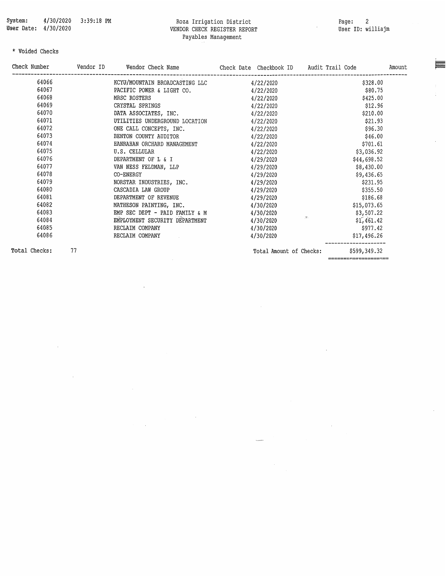$\bar{\nu}$ 

# Roza Irrigation District<br>VENDOR CHECK REGISTER REPORT<br>Payables Management

Page: 2<br>User ID: williajm

÷.

 $\ddot{\phantom{a}}$ 

 $\hat{\boldsymbol{\beta}}$ 

 $\overline{\phantom{a}}$ 

#### $\star$  Voided Checks

| \$328.00<br>\$80.75<br>\$425.00         |
|-----------------------------------------|
|                                         |
|                                         |
|                                         |
| \$12.96                                 |
| \$210.00                                |
| \$21.93                                 |
| \$96.30                                 |
| \$46.00                                 |
| \$701.61                                |
| \$3,036.92                              |
| \$44,698.52                             |
| \$8,430.00                              |
| \$9,436.65                              |
| \$231.95                                |
| \$355.50                                |
| \$186.68                                |
| \$15,073.65                             |
| \$3,507.22                              |
| <b>Sec.</b><br>\$1,461.42               |
| \$977.42                                |
| \$17,496.26                             |
| \$599,349.32<br>Total Amount of Checks: |
|                                         |

 $\bar{z}$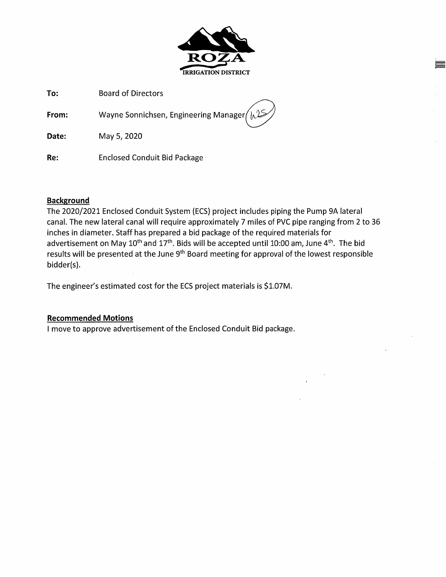

To: **Board of Directors** 

Wayne Sonnichsen, Engineering Manager From:

May 5, 2020 Date:

Re: **Enclosed Conduit Bid Package** 

### **Background**

The 2020/2021 Enclosed Conduit System (ECS) project includes piping the Pump 9A lateral canal. The new lateral canal will require approximately 7 miles of PVC pipe ranging from 2 to 36 inches in diameter. Staff has prepared a bid package of the required materials for advertisement on May  $10^{th}$  and  $17^{th}$ . Bids will be accepted until 10:00 am, June  $4^{th}$ . The bid results will be presented at the June 9<sup>th</sup> Board meeting for approval of the lowest responsible bidder(s).

The engineer's estimated cost for the ECS project materials is \$1.07M.

### **Recommended Motions**

I move to approve advertisement of the Enclosed Conduit Bid package.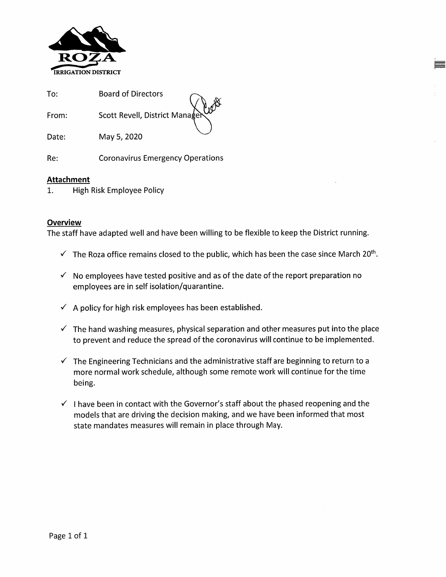

 $To:$ **Board of Directors** Scott Revell, District Mana From:

Date: May 5, 2020

Re: **Coronavirus Emergency Operations** 

#### **Attachment**

High Risk Employee Policy 1.

#### **Overview**

The staff have adapted well and have been willing to be flexible to keep the District running.

- $\checkmark$  The Roza office remains closed to the public, which has been the case since March 20<sup>th</sup>.
- $\checkmark$  No employees have tested positive and as of the date of the report preparation no employees are in self isolation/quarantine.
- $\checkmark$  A policy for high risk employees has been established.
- $\checkmark$  The hand washing measures, physical separation and other measures put into the place to prevent and reduce the spread of the coronavirus will continue to be implemented.
- $\checkmark$  The Engineering Technicians and the administrative staff are beginning to return to a more normal work schedule, although some remote work will continue for the time being.
- $\checkmark$  I have been in contact with the Governor's staff about the phased reopening and the models that are driving the decision making, and we have been informed that most state mandates measures will remain in place through May.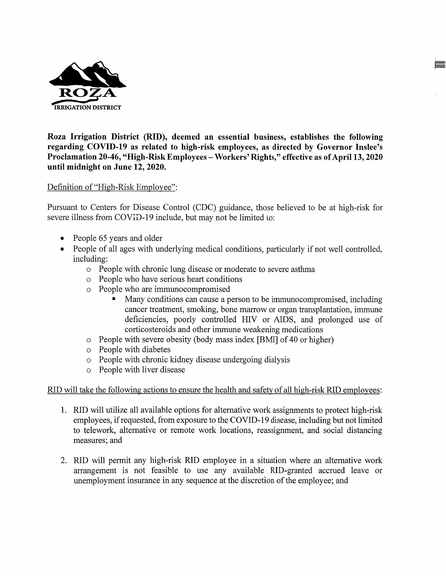

Roza Irrigation District (RID), deemed an essential business, establishes the following regarding COVID-19 as related to high-risk employees, as directed by Governor Inslee's Proclamation 20-46, "High-Risk Employees - Workers' Rights," effective as of April 13, 2020 until midnight on June 12, 2020.

#### Definition of "High-Risk Employee":

Pursuant to Centers for Disease Control (CDC) guidance, those believed to be at high-risk for severe illness from COVID-19 include, but may not be limited to:

- People 65 years and older
- People of all ages with underlying medical conditions, particularly if not well controlled, including:
	- o People with chronic lung disease or moderate to severe asthma
	- o People who have serious heart conditions
	- People who are immunocompromised  $\circ$ 
		- Many conditions can cause a person to be immunocompromised, including cancer treatment, smoking, bone marrow or organ transplantation, immune deficiencies, poorly controlled HIV or AIDS, and prolonged use of corticosteroids and other immune weakening medications
	- People with severe obesity (body mass index [BMI] of 40 or higher)  $\circ$
	- o People with diabetes
	- o People with chronic kidney disease undergoing dialysis
	- People with liver disease  $\circ$

#### RID will take the following actions to ensure the health and safety of all high-risk RID employees:

- 1. RID will utilize all available options for alternative work assignments to protect high-risk employees, if requested, from exposure to the COVID-19 disease, including but not limited to telework, alternative or remote work locations, reassignment, and social distancing measures; and
- 2. RID will permit any high-risk RID employee in a situation where an alternative work arrangement is not feasible to use any available RID-granted accrued leave or unemployment insurance in any sequence at the discretion of the employee; and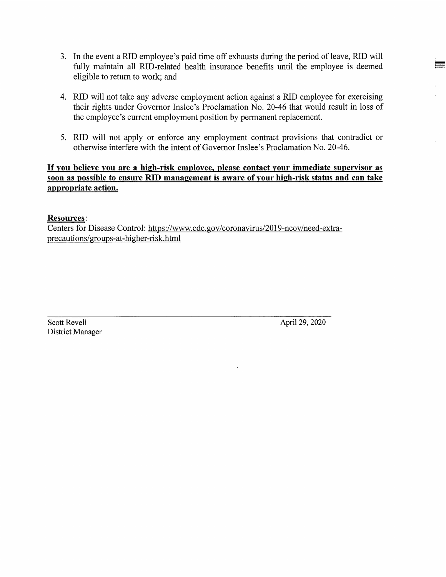- 3. In the event a RID employee's paid time off exhausts during the period of leave, RID will fully maintain all RID-related health insurance benefits until the employee is deemed eligible to return to work; and
- 4. RID will not take any adverse employment action against a RID employee for exercising their rights under Governor Inslee's Proclamation No. 20-46 that would result in loss of the employee's current employment position by permanent replacement.
- 5. RID will not apply or enforce any employment contract provisions that contradict or otherwise interfere with the intent of Governor Inslee's Proclamation No. 20-46.

### If you believe you are a high-risk employee, please contact your immediate supervisor as soon as possible to ensure RID management is aware of your high-risk status and can take appropriate action.

#### **Resources:**

Centers for Disease Control: https://www.cdc.gov/coronavirus/2019-ncov/need-extraprecautions/groups-at-higher-risk.html

Scott Revell District Manager April 29, 2020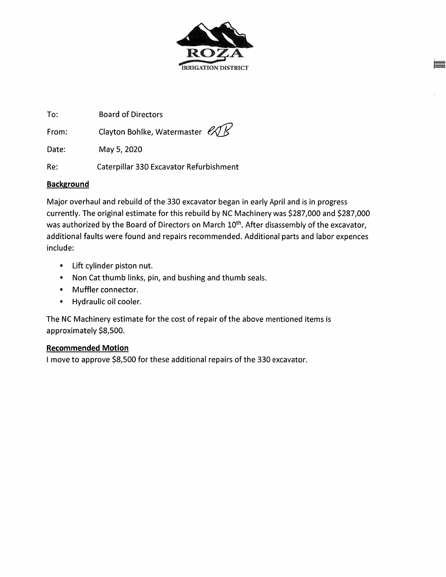

To: **Board of Directors** 

Clayton Bohlke, Watermaster ex From:

Date: May 5, 2020

Re: Caterpillar 330 Excavator Refurbishment

# **Background**

Major overhaul and rebuild of the 330 excavator began in early April and is in progress currently. The original estimate for this rebuild by NC Machinery was \$287,000 and \$287,000 was authorized by the Board of Directors on March 10<sup>th</sup>. After disassembly of the excavator, additional faults were found and repairs recommended. Additional parts and labor expences include:

- Lift cylinder piston nut.
- Non Cat thumb links, pin, and bushing and thumb seals.
- $\bullet$  . Muffler connector.
- Hydraulic oil cooler.

The NC Machinery estimate for the cost of repair of the above mentioned items is approximately \$8,500.

### **Recommended Motion**

I move to approve \$8,500 for these additional repairs of the 330 excavator.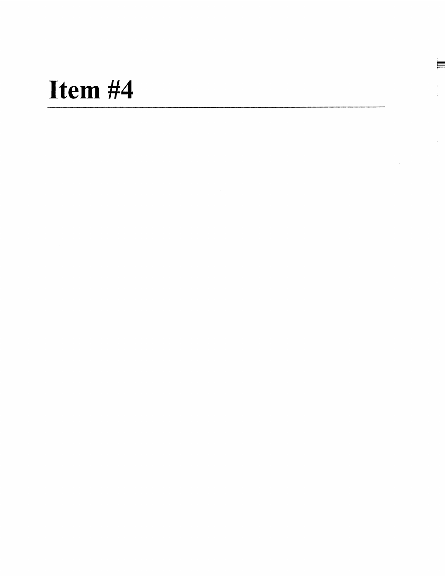$\equiv$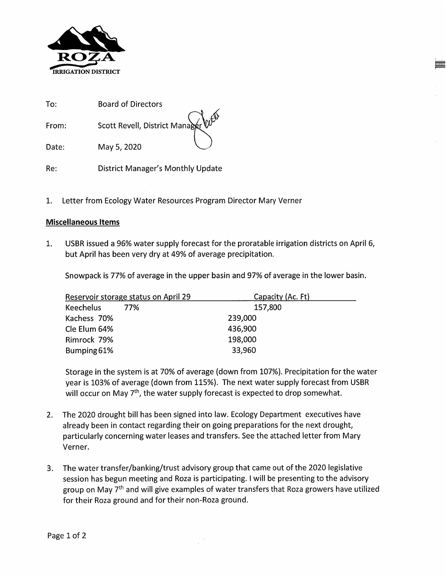

| To:   | Board of Directors                             |  |
|-------|------------------------------------------------|--|
| From: | Scott Revell, District Manager W <sup>GS</sup> |  |
| Date: | May 5, 2020                                    |  |

Re: **District Manager's Monthly Update** 

1. Letter from Ecology Water Resources Program Director Mary Verner

#### **Miscellaneous Items**

USBR issued a 96% water supply forecast for the proratable irrigation districts on April 6, 1. but April has been very dry at 49% of average precipitation.

Snowpack is 77% of average in the upper basin and 97% of average in the lower basin.

| Reservoir storage status on April 29 | Capacity (Ac. Ft) |
|--------------------------------------|-------------------|
| <b>Keechelus</b><br>77%              | 157,800           |
| Kachess 70%                          | 239,000           |
| Cle Elum 64%                         | 436,900           |
| Rimrock 79%                          | 198,000           |
| Bumping 61%                          | 33,960            |

Storage in the system is at 70% of average (down from 107%). Precipitation for the water year is 103% of average (down from 115%). The next water supply forecast from USBR will occur on May  $7<sup>th</sup>$ , the water supply forecast is expected to drop somewhat.

- The 2020 drought bill has been signed into law. Ecology Department executives have  $2.$ already been in contact regarding their on going preparations for the next drought, particularly concerning water leases and transfers. See the attached letter from Mary Verner.
- $3.$ The water transfer/banking/trust advisory group that came out of the 2020 legislative session has begun meeting and Roza is participating. I will be presenting to the advisory group on May 7<sup>th</sup> and will give examples of water transfers that Roza growers have utilized for their Roza ground and for their non-Roza ground.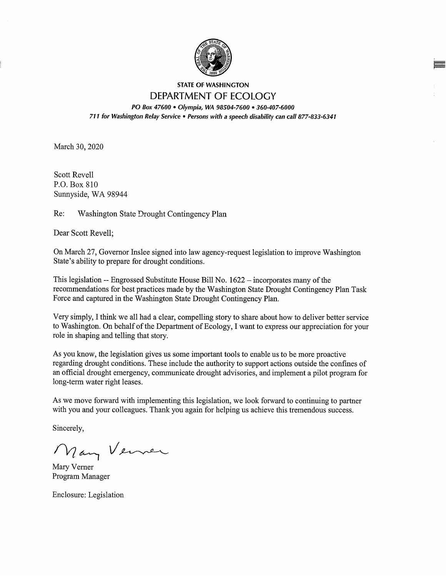

#### **STATE OF WASHINGTON** DEPARTMENT OF ECOLOGY

PO Box 47600 . Olympia, WA 98504-7600 . 360-407-6000 711 for Washington Relay Service . Persons with a speech disability can call 877-833-6341

March 30, 2020

**Scott Revell** P.O. Box 810 Sunnyside, WA 98944

Re: Washington State Drought Contingency Plan

Dear Scott Revell;

On March 27, Governor Inslee signed into law agency-request legislation to improve Washington State's ability to prepare for drought conditions.

This legislation -- Engrossed Substitute House Bill No. 1622 – incorporates many of the recommendations for best practices made by the Washington State Drought Contingency Plan Task Force and captured in the Washington State Drought Contingency Plan.

Very simply, I think we all had a clear, compelling story to share about how to deliver better service to Washington. On behalf of the Department of Ecology, I want to express our appreciation for your role in shaping and telling that story.

As you know, the legislation gives us some important tools to enable us to be more proactive regarding drought conditions. These include the authority to support actions outside the confines of an official drought emergency, communicate drought advisories, and implement a pilot program for long-term water right leases.

As we move forward with implementing this legislation, we look forward to continuing to partner with you and your colleagues. Thank you again for helping us achieve this tremendous success.

Sincerely,

Many Verner

Mary Verner Program Manager

Enclosure: Legislation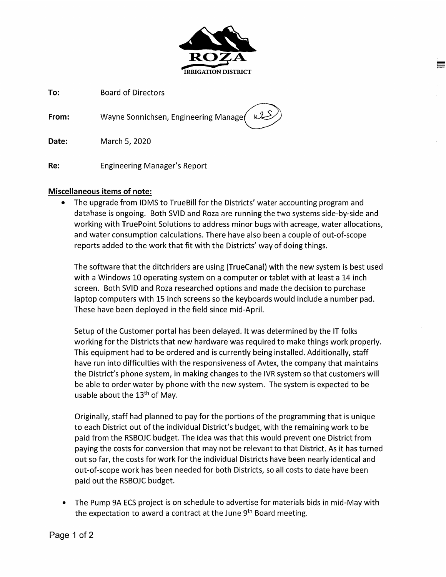

To: **Board of Directors** 

Wayne Sonnichsen, Engineering Manager From:

Date: March 5, 2020

Re: **Engineering Manager's Report** 

### **Miscellaneous items of note:**

The upgrade from IDMS to TrueBill for the Districts' water accounting program and  $\bullet$ database is ongoing. Both SVID and Roza are running the two systems side-by-side and working with TruePoint Solutions to address minor bugs with acreage, water allocations, and water consumption calculations. There have also been a couple of out-of-scope reports added to the work that fit with the Districts' way of doing things.

The software that the ditchriders are using (TrueCanal) with the new system is best used with a Windows 10 operating system on a computer or tablet with at least a 14 inch screen. Both SVID and Roza researched options and made the decision to purchase laptop computers with 15 inch screens so the keyboards would include a number pad. These have been deployed in the field since mid-April.

Setup of the Customer portal has been delayed. It was determined by the IT folks working for the Districts that new hardware was required to make things work properly. This equipment had to be ordered and is currently being installed. Additionally, staff have run into difficulties with the responsiveness of Avtex, the company that maintains the District's phone system, in making changes to the IVR system so that customers will be able to order water by phone with the new system. The system is expected to be usable about the 13<sup>th</sup> of May.

Originally, staff had planned to pay for the portions of the programming that is unique to each District out of the individual District's budget, with the remaining work to be paid from the RSBOJC budget. The idea was that this would prevent one District from paying the costs for conversion that may not be relevant to that District. As it has turned out so far, the costs for work for the individual Districts have been nearly identical and out-of-scope work has been needed for both Districts, so all costs to date have been paid out the RSBOJC budget.

The Pump 9A ECS project is on schedule to advertise for materials bids in mid-May with  $\bullet$ the expectation to award a contract at the June 9<sup>th</sup> Board meeting.